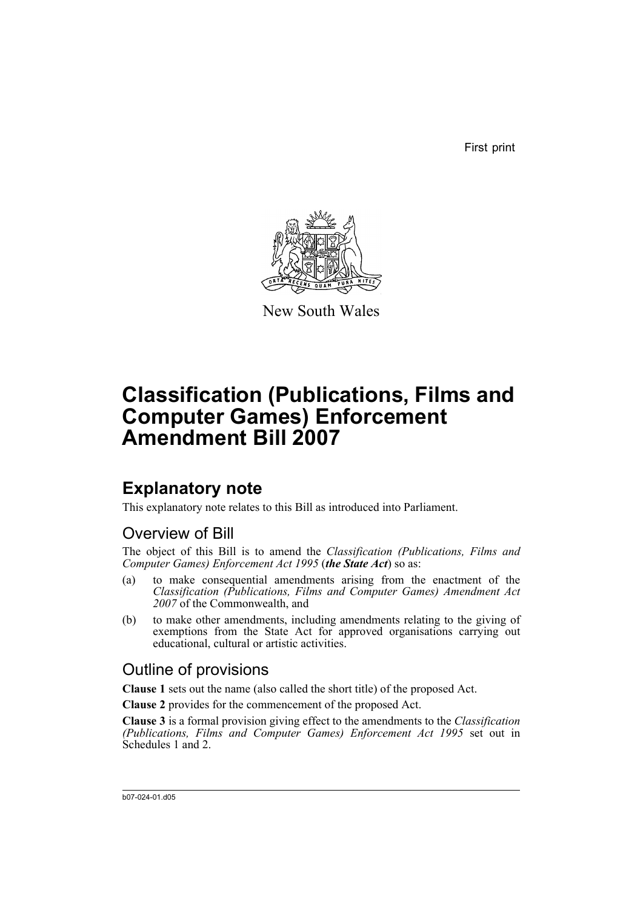First print



New South Wales

# **Classification (Publications, Films and Computer Games) Enforcement Amendment Bill 2007**

## **Explanatory note**

This explanatory note relates to this Bill as introduced into Parliament.

## Overview of Bill

The object of this Bill is to amend the *Classification (Publications, Films and Computer Games) Enforcement Act 1995* (*the State Act*) so as:

- (a) to make consequential amendments arising from the enactment of the *Classification (Publications, Films and Computer Games) Amendment Act 2007* of the Commonwealth, and
- (b) to make other amendments, including amendments relating to the giving of exemptions from the State Act for approved organisations carrying out educational, cultural or artistic activities.

## Outline of provisions

**Clause 1** sets out the name (also called the short title) of the proposed Act.

**Clause 2** provides for the commencement of the proposed Act.

**Clause 3** is a formal provision giving effect to the amendments to the *Classification (Publications, Films and Computer Games) Enforcement Act 1995* set out in Schedules 1 and 2.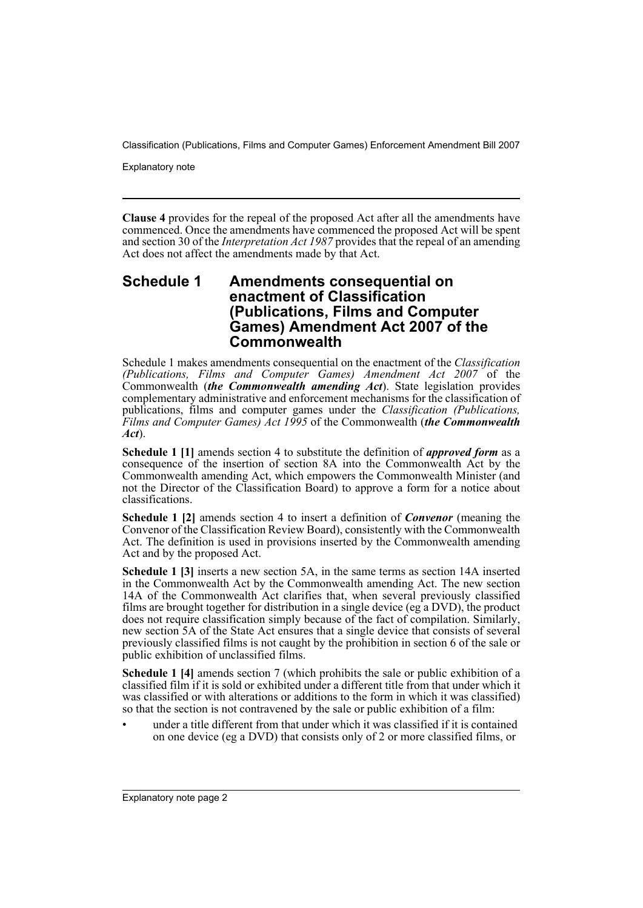Explanatory note

**Clause 4** provides for the repeal of the proposed Act after all the amendments have commenced. Once the amendments have commenced the proposed Act will be spent and section 30 of the *Interpretation Act 1987* provides that the repeal of an amending Act does not affect the amendments made by that Act.

#### **Schedule 1 Amendments consequential on enactment of Classification (Publications, Films and Computer Games) Amendment Act 2007 of the Commonwealth**

Schedule 1 makes amendments consequential on the enactment of the *Classification (Publications, Films and Computer Games) Amendment Act 2007* of the Commonwealth (*the Commonwealth amending Act*). State legislation provides complementary administrative and enforcement mechanisms for the classification of publications, films and computer games under the *Classification (Publications, Films and Computer Games) Act 1995* of the Commonwealth (*the Commonwealth Act*).

**Schedule 1 [1]** amends section 4 to substitute the definition of *approved form* as a consequence of the insertion of section 8A into the Commonwealth Act by the Commonwealth amending Act, which empowers the Commonwealth Minister (and not the Director of the Classification Board) to approve a form for a notice about classifications.

**Schedule 1 [2]** amends section 4 to insert a definition of *Convenor* (meaning the Convenor of the Classification Review Board), consistently with the Commonwealth Act. The definition is used in provisions inserted by the Commonwealth amending Act and by the proposed Act.

**Schedule 1 [3]** inserts a new section 5A, in the same terms as section 14A inserted in the Commonwealth Act by the Commonwealth amending Act. The new section 14A of the Commonwealth Act clarifies that, when several previously classified films are brought together for distribution in a single device (eg a DVD), the product does not require classification simply because of the fact of compilation. Similarly, new section 5A of the State Act ensures that a single device that consists of several previously classified films is not caught by the prohibition in section 6 of the sale or public exhibition of unclassified films.

**Schedule 1 [4]** amends section 7 (which prohibits the sale or public exhibition of a classified film if it is sold or exhibited under a different title from that under which it was classified or with alterations or additions to the form in which it was classified) so that the section is not contravened by the sale or public exhibition of a film:

under a title different from that under which it was classified if it is contained on one device (eg a DVD) that consists only of 2 or more classified films, or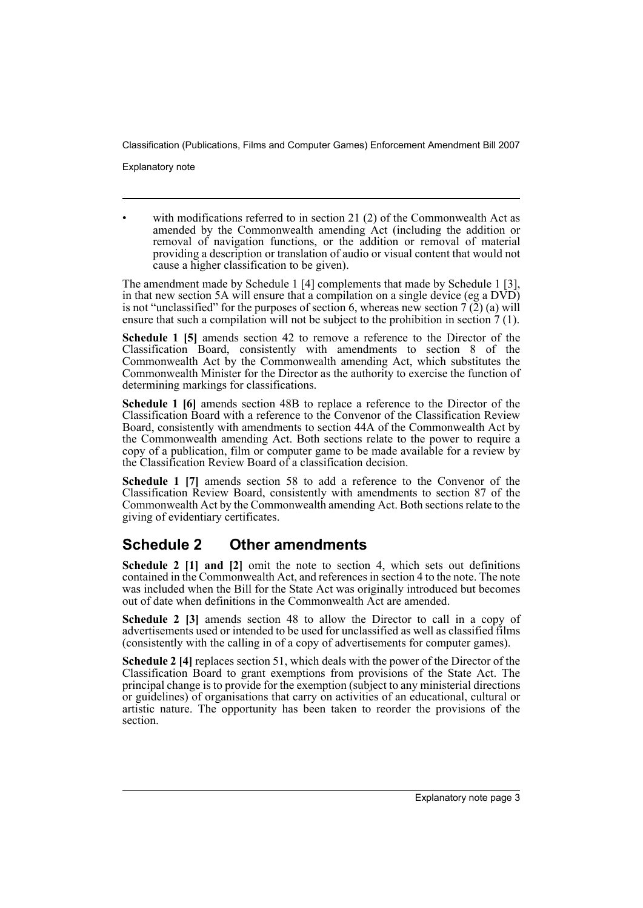Explanatory note

with modifications referred to in section 21 (2) of the Commonwealth Act as amended by the Commonwealth amending Act (including the addition or removal of navigation functions, or the addition or removal of material providing a description or translation of audio or visual content that would not cause a higher classification to be given).

The amendment made by Schedule 1 [4] complements that made by Schedule 1 [3], in that new section 5A will ensure that a compilation on a single device (eg a DVD) is not "unclassified" for the purposes of section 6, whereas new section  $7(\bar{2})$  (a) will ensure that such a compilation will not be subject to the prohibition in section 7 (1).

**Schedule 1 [5]** amends section 42 to remove a reference to the Director of the Classification Board, consistently with amendments to section 8 of the Commonwealth Act by the Commonwealth amending Act, which substitutes the Commonwealth Minister for the Director as the authority to exercise the function of determining markings for classifications.

**Schedule 1 [6]** amends section 48B to replace a reference to the Director of the Classification Board with a reference to the Convenor of the Classification Review Board, consistently with amendments to section 44A of the Commonwealth Act by the Commonwealth amending Act. Both sections relate to the power to require a copy of a publication, film or computer game to be made available for a review by the Classification Review Board of a classification decision.

**Schedule 1 [7]** amends section 58 to add a reference to the Convenor of the Classification Review Board, consistently with amendments to section 87 of the Commonwealth Act by the Commonwealth amending Act. Both sections relate to the giving of evidentiary certificates.

## **Schedule 2 Other amendments**

**Schedule 2 [1] and [2]** omit the note to section 4, which sets out definitions contained in the Commonwealth Act, and references in section 4 to the note. The note was included when the Bill for the State Act was originally introduced but becomes out of date when definitions in the Commonwealth Act are amended.

**Schedule 2 [3]** amends section 48 to allow the Director to call in a copy of advertisements used or intended to be used for unclassified as well as classified films (consistently with the calling in of a copy of advertisements for computer games).

**Schedule 2 [4]** replaces section 51, which deals with the power of the Director of the Classification Board to grant exemptions from provisions of the State Act. The principal change is to provide for the exemption (subject to any ministerial directions or guidelines) of organisations that carry on activities of an educational, cultural or artistic nature. The opportunity has been taken to reorder the provisions of the section.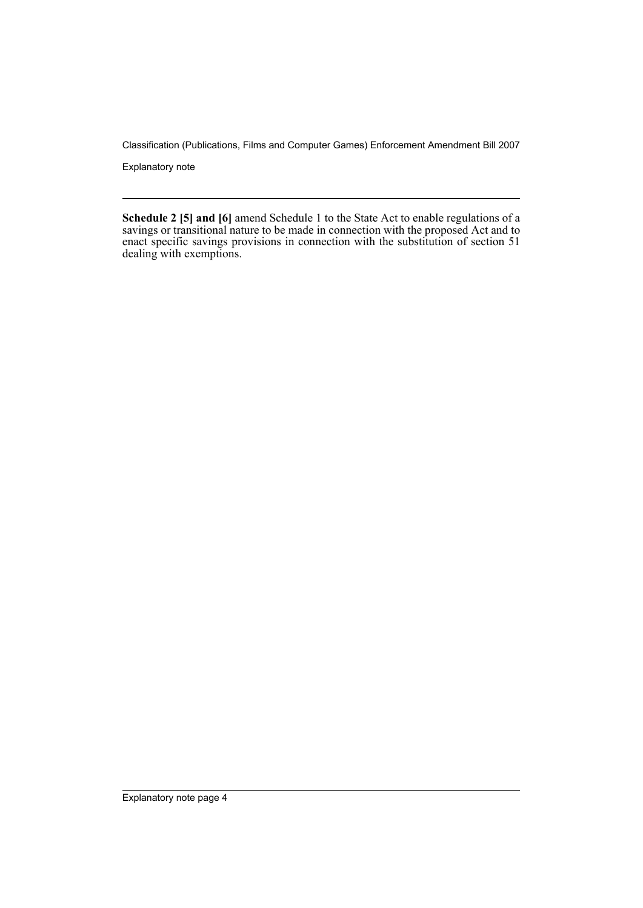Explanatory note

**Schedule 2 [5] and [6]** amend Schedule 1 to the State Act to enable regulations of a savings or transitional nature to be made in connection with the proposed Act and to enact specific savings provisions in connection with the substitution of section 51 dealing with exemptions.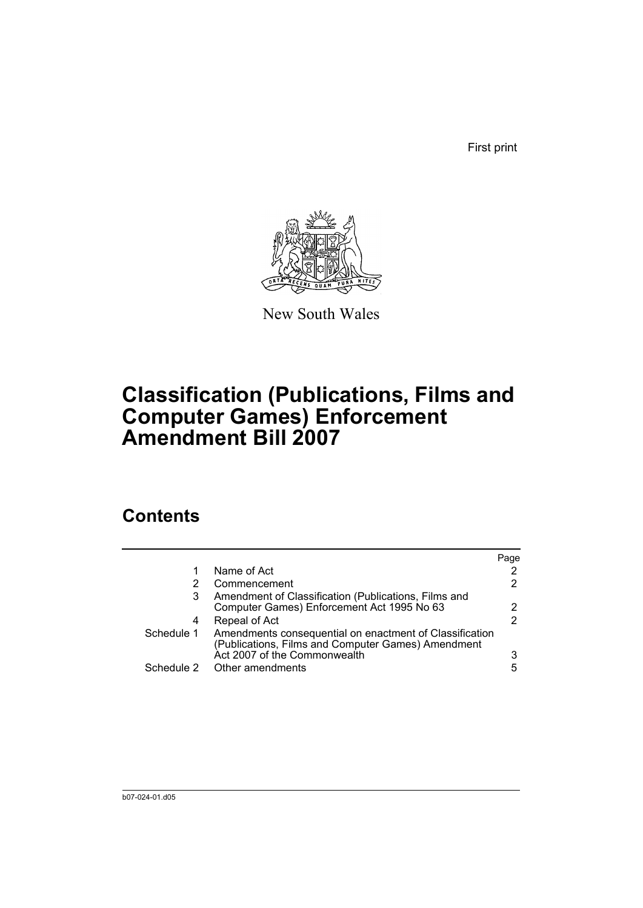First print



New South Wales

# **Classification (Publications, Films and Computer Games) Enforcement Amendment Bill 2007**

## **Contents**

|            |                                                                                                                                               | Page |
|------------|-----------------------------------------------------------------------------------------------------------------------------------------------|------|
| 1          | Name of Act                                                                                                                                   | 2    |
|            | Commencement                                                                                                                                  | 2    |
| 3          | Amendment of Classification (Publications, Films and<br>Computer Games) Enforcement Act 1995 No 63                                            | 2    |
| 4          | Repeal of Act                                                                                                                                 | 2    |
| Schedule 1 | Amendments consequential on enactment of Classification<br>(Publications, Films and Computer Games) Amendment<br>Act 2007 of the Commonwealth | 3    |
|            | Schedule 2 Other amendments                                                                                                                   | 5    |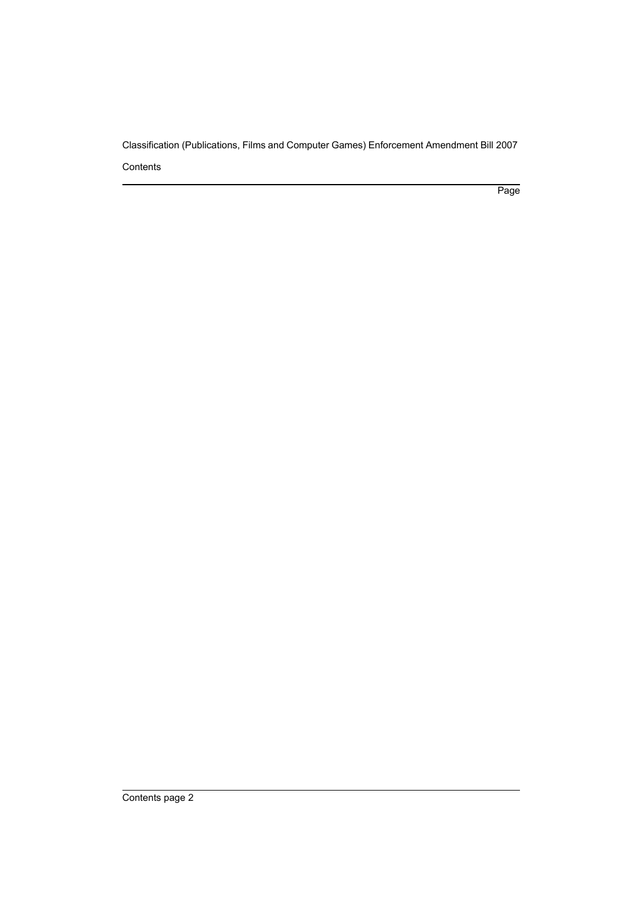Page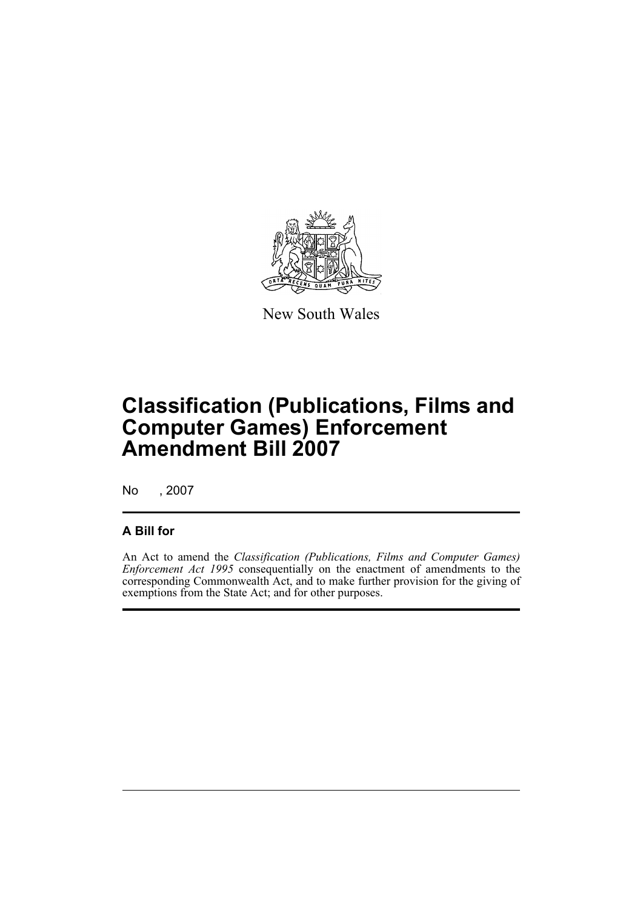

New South Wales

# **Classification (Publications, Films and Computer Games) Enforcement Amendment Bill 2007**

No , 2007

## **A Bill for**

An Act to amend the *Classification (Publications, Films and Computer Games) Enforcement Act 1995* consequentially on the enactment of amendments to the corresponding Commonwealth Act, and to make further provision for the giving of exemptions from the State Act; and for other purposes.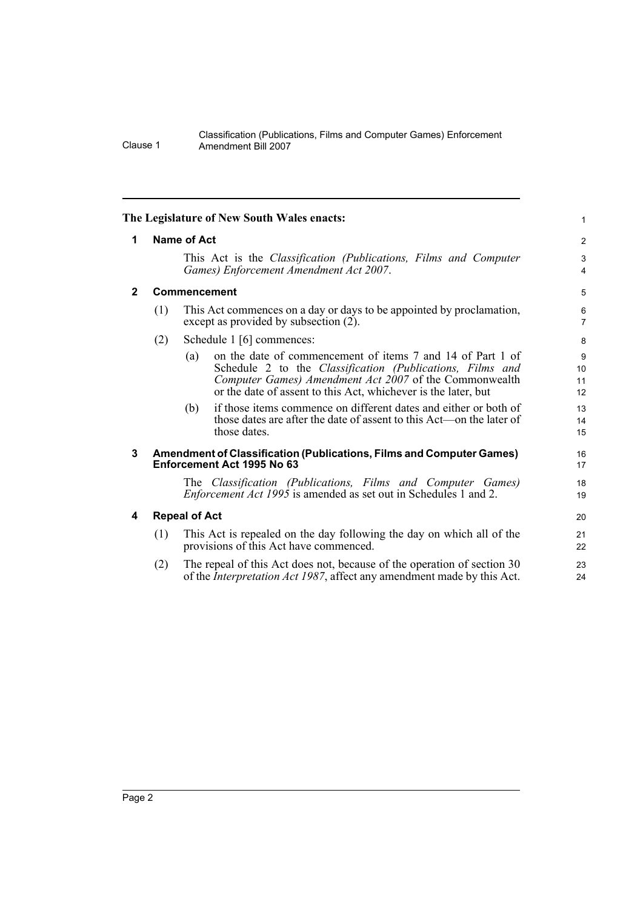<span id="page-7-3"></span><span id="page-7-2"></span><span id="page-7-1"></span><span id="page-7-0"></span>

|                                                                                                                                                                  |                                                                                                                         |                      | The Legislature of New South Wales enacts:                                                                                                                                                                                                          | $\mathbf{1}$        |  |
|------------------------------------------------------------------------------------------------------------------------------------------------------------------|-------------------------------------------------------------------------------------------------------------------------|----------------------|-----------------------------------------------------------------------------------------------------------------------------------------------------------------------------------------------------------------------------------------------------|---------------------|--|
| $\mathbf 1$                                                                                                                                                      | <b>Name of Act</b>                                                                                                      |                      |                                                                                                                                                                                                                                                     |                     |  |
|                                                                                                                                                                  | This Act is the <i>Classification (Publications, Films and Computer</i><br>Games) Enforcement Amendment Act 2007.       |                      |                                                                                                                                                                                                                                                     |                     |  |
| $\overline{2}$                                                                                                                                                   | Commencement                                                                                                            |                      |                                                                                                                                                                                                                                                     | 5                   |  |
|                                                                                                                                                                  | This Act commences on a day or days to be appointed by proclamation,<br>(1)<br>except as provided by subsection $(2)$ . |                      |                                                                                                                                                                                                                                                     | 6<br>$\overline{7}$ |  |
|                                                                                                                                                                  | (2)                                                                                                                     |                      | Schedule 1 [6] commences:                                                                                                                                                                                                                           | 8                   |  |
|                                                                                                                                                                  |                                                                                                                         | (a)                  | on the date of commencement of items 7 and 14 of Part 1 of<br>Schedule 2 to the Classification (Publications, Films and<br>Computer Games) Amendment Act 2007 of the Commonwealth<br>or the date of assent to this Act, whichever is the later, but | 9<br>10<br>11<br>12 |  |
|                                                                                                                                                                  |                                                                                                                         | (b)                  | if those items commence on different dates and either or both of<br>those dates are after the date of assent to this Act—on the later of<br>those dates.                                                                                            | 13<br>14<br>15      |  |
| 3                                                                                                                                                                |                                                                                                                         |                      | <b>Amendment of Classification (Publications, Films and Computer Games)</b><br>Enforcement Act 1995 No 63                                                                                                                                           | 16<br>17            |  |
|                                                                                                                                                                  |                                                                                                                         |                      | The Classification (Publications, Films and Computer Games)<br><i>Enforcement Act 1995</i> is amended as set out in Schedules 1 and 2.                                                                                                              | 18<br>19            |  |
| 4                                                                                                                                                                |                                                                                                                         | <b>Repeal of Act</b> |                                                                                                                                                                                                                                                     | 20                  |  |
|                                                                                                                                                                  | (1)                                                                                                                     |                      | This Act is repealed on the day following the day on which all of the<br>provisions of this Act have commenced.                                                                                                                                     | 21<br>22            |  |
| The repeal of this Act does not, because of the operation of section 30<br>(2)<br>of the <i>Interpretation Act 1987</i> , affect any amendment made by this Act. |                                                                                                                         |                      |                                                                                                                                                                                                                                                     |                     |  |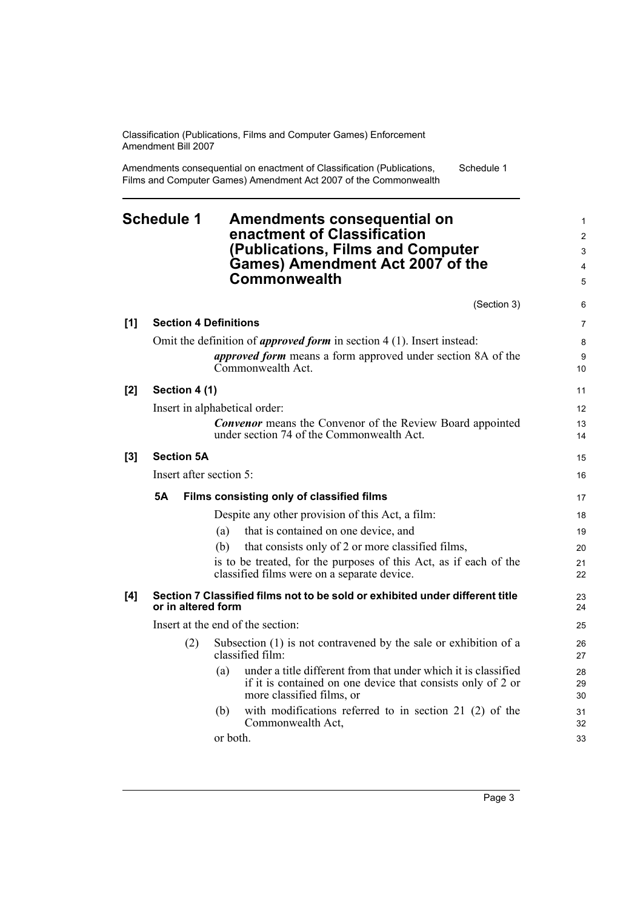Amendments consequential on enactment of Classification (Publications, Films and Computer Games) Amendment Act 2007 of the Commonwealth Schedule 1

## <span id="page-8-0"></span>**Schedule 1 Amendments consequential on enactment of Classification (Publications, Films and Computer Games) Amendment Act 2007 of the Commonwealth**

|       |                               |          | (Section 3)                                                                                                                                                                | 6              |
|-------|-------------------------------|----------|----------------------------------------------------------------------------------------------------------------------------------------------------------------------------|----------------|
| [1]   | <b>Section 4 Definitions</b>  |          |                                                                                                                                                                            | 7              |
|       |                               |          | Omit the definition of <i>approved form</i> in section $4(1)$ . Insert instead:<br><i>approved form</i> means a form approved under section 8A of the<br>Commonwealth Act. | 8<br>9<br>10   |
| [2]   | Section 4 (1)                 |          |                                                                                                                                                                            | 11             |
|       | Insert in alphabetical order: |          |                                                                                                                                                                            | 12             |
|       |                               |          | <b>Convenor</b> means the Convenor of the Review Board appointed<br>under section 74 of the Commonwealth Act.                                                              | 13<br>14       |
| $[3]$ | <b>Section 5A</b>             |          |                                                                                                                                                                            | 15             |
|       | Insert after section 5:       |          |                                                                                                                                                                            | 16             |
|       | <b>5A</b>                     |          | Films consisting only of classified films                                                                                                                                  | 17             |
|       |                               |          | Despite any other provision of this Act, a film:                                                                                                                           | 18             |
|       |                               | (a)      | that is contained on one device, and                                                                                                                                       | 19             |
|       |                               | (b)      | that consists only of 2 or more classified films,                                                                                                                          | 20             |
|       |                               |          | is to be treated, for the purposes of this Act, as if each of the<br>classified films were on a separate device.                                                           | 21<br>22       |
| [4]   | or in altered form            |          | Section 7 Classified films not to be sold or exhibited under different title                                                                                               | 23<br>24       |
|       |                               |          | Insert at the end of the section:                                                                                                                                          | 25             |
|       | (2)                           |          | Subsection (1) is not contravened by the sale or exhibition of a<br>classified film:                                                                                       | 26<br>27       |
|       |                               | (a)      | under a title different from that under which it is classified<br>if it is contained on one device that consists only of 2 or<br>more classified films, or                 | 28<br>29<br>30 |
|       |                               | (b)      | with modifications referred to in section 21 (2) of the<br>Commonwealth Act,                                                                                               | 31<br>32       |
|       |                               | or both. |                                                                                                                                                                            | 33             |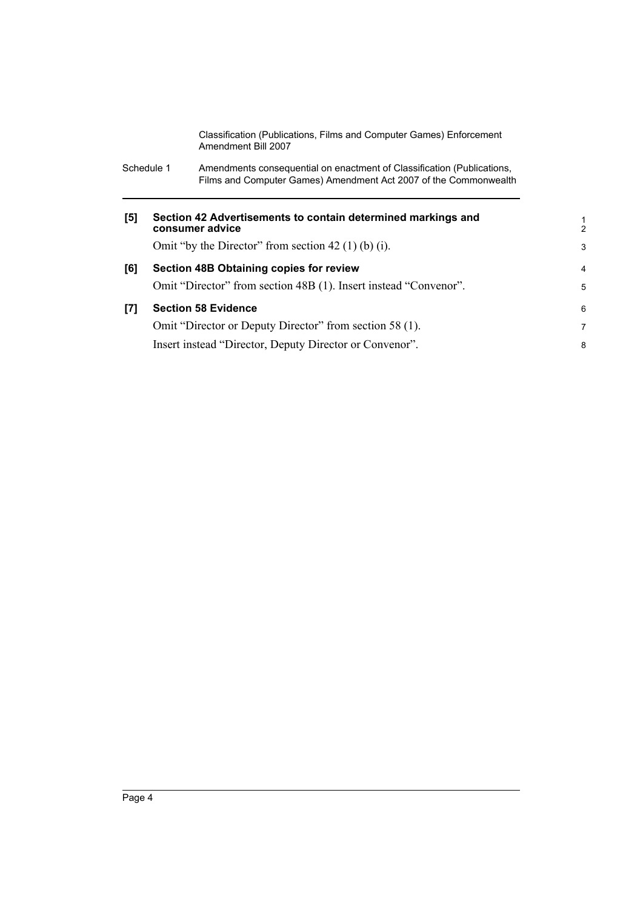| Schedule 1 | Amendments consequential on enactment of Classification (Publications, |
|------------|------------------------------------------------------------------------|
|            | Films and Computer Games) Amendment Act 2007 of the Commonwealth       |

| [5] | Section 42 Advertisements to contain determined markings and<br>consumer advice | 1<br>$\mathcal{P}$ |
|-----|---------------------------------------------------------------------------------|--------------------|
|     | Omit "by the Director" from section 42 (1) (b) (i).                             | 3                  |
| [6] | <b>Section 48B Obtaining copies for review</b>                                  | 4                  |
|     | Omit "Director" from section 48B (1). Insert instead "Convenor".                | 5                  |
| [7] | <b>Section 58 Evidence</b>                                                      | 6                  |
|     | Omit "Director or Deputy Director" from section 58 (1).                         | 7                  |
|     | Insert instead "Director, Deputy Director or Convenor".                         | 8                  |
|     |                                                                                 |                    |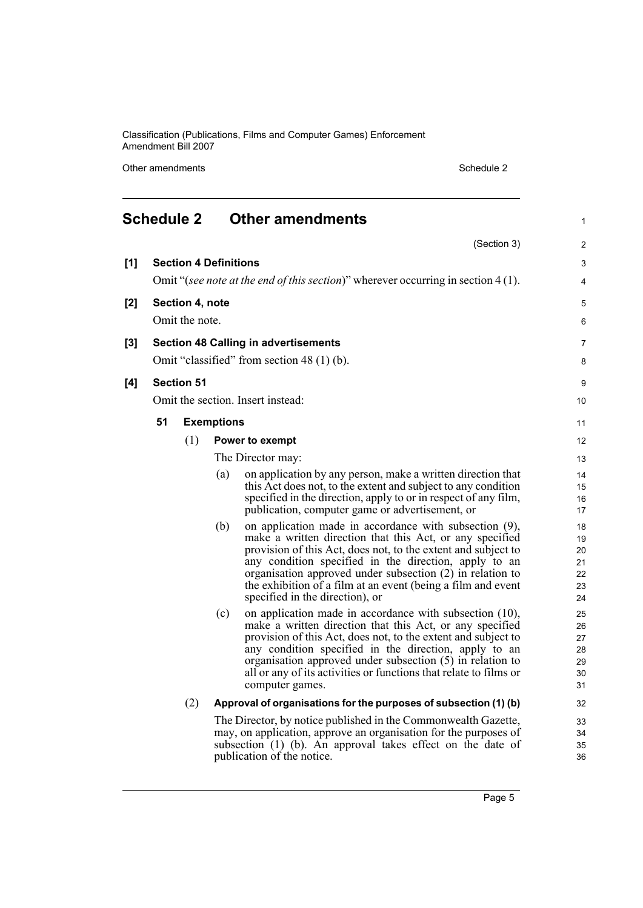Other amendments Schedule 2

<span id="page-10-0"></span>

|       | <b>Schedule 2</b>                                                       |                              |                   | <b>Other amendments</b>                                                                                                      | 1              |
|-------|-------------------------------------------------------------------------|------------------------------|-------------------|------------------------------------------------------------------------------------------------------------------------------|----------------|
|       |                                                                         |                              |                   | (Section 3)                                                                                                                  | 2              |
| [1]   |                                                                         | <b>Section 4 Definitions</b> |                   |                                                                                                                              | 3              |
|       |                                                                         |                              |                   | Omit "(see note at the end of this section)" wherever occurring in section 4 (1).                                            | 4              |
| [2]   |                                                                         | Section 4, note              |                   |                                                                                                                              | 5              |
|       |                                                                         |                              |                   |                                                                                                                              |                |
|       |                                                                         | Omit the note.               |                   |                                                                                                                              | 6              |
| $[3]$ |                                                                         |                              |                   | <b>Section 48 Calling in advertisements</b>                                                                                  | $\overline{7}$ |
|       |                                                                         |                              |                   | Omit "classified" from section 48 (1) (b).                                                                                   | 8              |
| [4]   |                                                                         | <b>Section 51</b>            |                   |                                                                                                                              | 9              |
|       |                                                                         |                              |                   | Omit the section. Insert instead:                                                                                            | 10             |
|       | 51                                                                      |                              | <b>Exemptions</b> |                                                                                                                              | 11             |
|       |                                                                         |                              |                   |                                                                                                                              |                |
|       |                                                                         | (1)                          |                   | Power to exempt                                                                                                              | 12             |
|       |                                                                         |                              |                   | The Director may:                                                                                                            | 13             |
|       |                                                                         |                              | (a)               | on application by any person, make a written direction that<br>this Act does not, to the extent and subject to any condition | 14<br>15       |
|       |                                                                         |                              |                   | specified in the direction, apply to or in respect of any film,                                                              | 16             |
|       |                                                                         |                              |                   | publication, computer game or advertisement, or                                                                              | 17             |
|       |                                                                         |                              | (b)               | on application made in accordance with subsection (9),                                                                       | 18             |
|       |                                                                         |                              |                   | make a written direction that this Act, or any specified<br>provision of this Act, does not, to the extent and subject to    | 19<br>20       |
|       |                                                                         |                              |                   | any condition specified in the direction, apply to an                                                                        | 21             |
|       |                                                                         |                              |                   | organisation approved under subsection (2) in relation to                                                                    | 22             |
|       |                                                                         |                              |                   | the exhibition of a film at an event (being a film and event                                                                 | 23             |
|       |                                                                         |                              |                   | specified in the direction), or                                                                                              | 24             |
|       |                                                                         |                              | (c)               | on application made in accordance with subsection (10),                                                                      | 25             |
|       |                                                                         |                              |                   | make a written direction that this Act, or any specified<br>provision of this Act, does not, to the extent and subject to    | 26<br>27       |
|       |                                                                         |                              |                   | any condition specified in the direction, apply to an                                                                        | 28             |
|       |                                                                         |                              |                   | organisation approved under subsection $(5)$ in relation to                                                                  | 29             |
|       |                                                                         |                              |                   | all or any of its activities or functions that relate to films or                                                            | 30             |
|       |                                                                         |                              |                   | computer games.                                                                                                              | 31             |
|       | (2)<br>Approval of organisations for the purposes of subsection (1) (b) |                              |                   |                                                                                                                              |                |
|       |                                                                         |                              |                   | The Director, by notice published in the Commonwealth Gazette,                                                               | 33             |
|       |                                                                         |                              |                   | may, on application, approve an organisation for the purposes of                                                             | 34             |
|       |                                                                         |                              |                   | subsection (1) (b). An approval takes effect on the date of                                                                  | 35             |
|       |                                                                         |                              |                   | publication of the notice.                                                                                                   | 36             |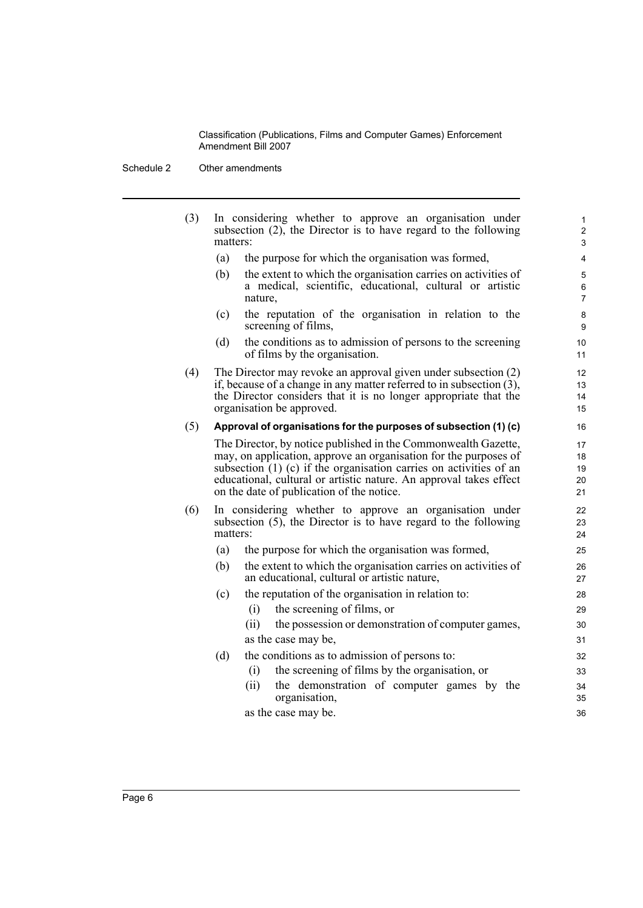Schedule 2 Other amendments

| (3) | In considering whether to approve an organisation under<br>subsection $(2)$ , the Director is to have regard to the following<br>matters:                                                                                                                                                                                     | $\mathbf{1}$<br>$\overline{c}$<br>3 |
|-----|-------------------------------------------------------------------------------------------------------------------------------------------------------------------------------------------------------------------------------------------------------------------------------------------------------------------------------|-------------------------------------|
|     | (a)<br>the purpose for which the organisation was formed,                                                                                                                                                                                                                                                                     | 4                                   |
|     | (b)<br>the extent to which the organisation carries on activities of<br>a medical, scientific, educational, cultural or artistic<br>nature,                                                                                                                                                                                   | 5<br>6<br>$\overline{7}$            |
|     | the reputation of the organisation in relation to the<br>(c)<br>screening of films,                                                                                                                                                                                                                                           | 8<br>9                              |
|     | the conditions as to admission of persons to the screening<br>(d)<br>of films by the organisation.                                                                                                                                                                                                                            | 10<br>11                            |
| (4) | The Director may revoke an approval given under subsection (2)<br>if, because of a change in any matter referred to in subsection (3),<br>the Director considers that it is no longer appropriate that the<br>organisation be approved.                                                                                       | 12<br>13<br>14<br>15                |
| (5) | Approval of organisations for the purposes of subsection (1) (c)                                                                                                                                                                                                                                                              | 16                                  |
|     | The Director, by notice published in the Commonwealth Gazette,<br>may, on application, approve an organisation for the purposes of<br>subsection $(1)$ (c) if the organisation carries on activities of an<br>educational, cultural or artistic nature. An approval takes effect<br>on the date of publication of the notice. | 17<br>18<br>19<br>20<br>21          |
| (6) | In considering whether to approve an organisation under<br>subsection $(5)$ , the Director is to have regard to the following<br>matters:                                                                                                                                                                                     | 22<br>23<br>24                      |
|     | the purpose for which the organisation was formed,<br>(a)                                                                                                                                                                                                                                                                     | 25                                  |
|     | (b)<br>the extent to which the organisation carries on activities of<br>an educational, cultural or artistic nature,                                                                                                                                                                                                          | 26<br>27                            |
|     | the reputation of the organisation in relation to:<br>(c)<br>the screening of films, or<br>(i)                                                                                                                                                                                                                                | 28<br>29                            |
|     | (ii)<br>the possession or demonstration of computer games,                                                                                                                                                                                                                                                                    | 30                                  |
|     | as the case may be,                                                                                                                                                                                                                                                                                                           | 31                                  |
|     | the conditions as to admission of persons to:<br>(d)                                                                                                                                                                                                                                                                          | 32                                  |
|     | the screening of films by the organisation, or<br>(i)                                                                                                                                                                                                                                                                         | 33                                  |
|     | the demonstration of computer games by the<br>(ii)<br>organisation,                                                                                                                                                                                                                                                           | 34<br>35                            |
|     | as the case may be.                                                                                                                                                                                                                                                                                                           | 36                                  |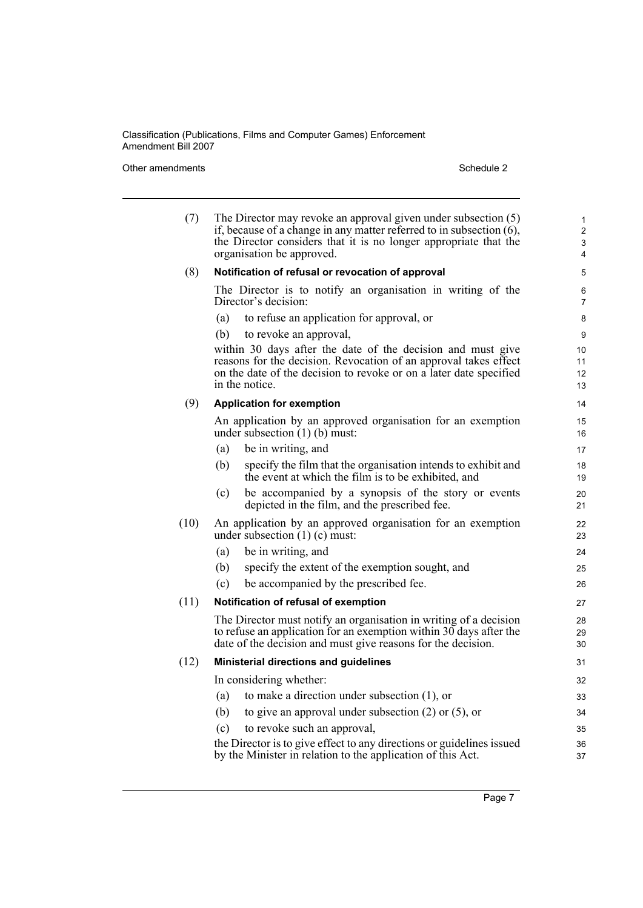#### Other amendments Schedule 2

| (7)  |     | The Director may revoke an approval given under subsection (5)<br>if, because of a change in any matter referred to in subsection $(6)$ ,<br>the Director considers that it is no longer appropriate that the<br>organisation be approved. | 1<br>$\overline{2}$<br>3<br>4 |
|------|-----|--------------------------------------------------------------------------------------------------------------------------------------------------------------------------------------------------------------------------------------------|-------------------------------|
| (8)  |     | Notification of refusal or revocation of approval                                                                                                                                                                                          | 5                             |
|      |     | The Director is to notify an organisation in writing of the<br>Director's decision:                                                                                                                                                        | 6<br>7                        |
|      | (a) | to refuse an application for approval, or                                                                                                                                                                                                  | 8                             |
|      | (b) | to revoke an approval,                                                                                                                                                                                                                     | 9                             |
|      |     | within 30 days after the date of the decision and must give<br>reasons for the decision. Revocation of an approval takes effect<br>on the date of the decision to revoke or on a later date specified<br>in the notice.                    | 10<br>11<br>12<br>13          |
| (9)  |     | <b>Application for exemption</b>                                                                                                                                                                                                           | 14                            |
|      |     | An application by an approved organisation for an exemption<br>under subsection $(1)$ (b) must:                                                                                                                                            | 15<br>16                      |
|      | (a) | be in writing, and                                                                                                                                                                                                                         | 17                            |
|      | (b) | specify the film that the organisation intends to exhibit and<br>the event at which the film is to be exhibited, and                                                                                                                       | 18<br>19                      |
|      | (c) | be accompanied by a synopsis of the story or events<br>depicted in the film, and the prescribed fee.                                                                                                                                       | 20<br>21                      |
| (10) |     | An application by an approved organisation for an exemption<br>under subsection $(1)$ (c) must:                                                                                                                                            | 22<br>23                      |
|      | (a) | be in writing, and                                                                                                                                                                                                                         | 24                            |
|      | (b) | specify the extent of the exemption sought, and                                                                                                                                                                                            | 25                            |
|      | (c) | be accompanied by the prescribed fee.                                                                                                                                                                                                      | 26                            |
| (11) |     | Notification of refusal of exemption                                                                                                                                                                                                       | 27                            |
|      |     | The Director must notify an organisation in writing of a decision<br>to refuse an application for an exemption within $30$ days after the<br>date of the decision and must give reasons for the decision.                                  | 28<br>29<br>30                |
| (12) |     | Ministerial directions and guidelines                                                                                                                                                                                                      | 31                            |
|      |     | In considering whether:                                                                                                                                                                                                                    | 32                            |
|      | (a) | to make a direction under subsection $(1)$ , or                                                                                                                                                                                            | 33                            |
|      | (b) | to give an approval under subsection $(2)$ or $(5)$ , or                                                                                                                                                                                   | 34                            |
|      | (c) | to revoke such an approval,                                                                                                                                                                                                                | 35                            |
|      |     | the Director is to give effect to any directions or guidelines issued<br>by the Minister in relation to the application of this Act.                                                                                                       | 36<br>37                      |